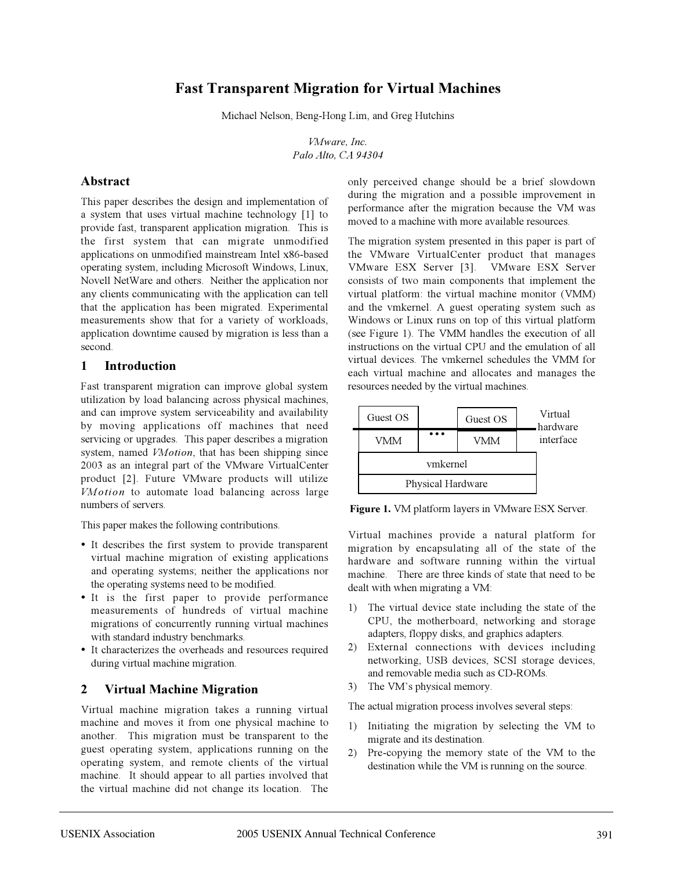# **Fast Transparent Migration for Virtual Machines**

Michael Nelson, Beng-Hong Lim, and Greg Hutchins

*VMware, Inc. Palo Alto, CA 94304*

#### **Abstract**

This paper describes the design and implementation of a system that uses virtual machine technology [1] to provide fast, transparent application migration. This is the first system that can migrate unmodified applications on unmodified mainstream Intel x86-based operating system, including Microsoft Windows, Linux, Novell NetWare and others. Neither the application nor any clients communicating with the application can tell that the application has been migrated. Experimental measurements show that for a variety of workloads, application downtime caused by migration is less than a second.

#### **1 Introduction**

Fast transparent migration can improve global system utilization by load balancing across physical machines, and can improve system serviceability and availability by moving applications off machines that need servicing or upgrades. This paper describes a migration system, named *VMotion*, that has been shipping since 2003 as an integral part of the VMware VirtualCenter product [2]. Future VMware products will utilize *VMotion* to automate load balancing across large numbers of servers.

This paper makes the following contributions.

- It describes the first system to provide transparent virtual machine migration of existing applications and operating systems; neither the applications nor the operating systems need to be modified.
- It is the first paper to provide performance measurements of hundreds of virtual machine migrations of concurrently running virtual machines with standard industry benchmarks.
- It characterizes the overheads and resources required during virtual machine migration.

### **2 Virtual Machine Migration**

Virtual machine migration takes a running virtual machine and moves it from one physical machine to another. This migration must be transparent to the guest operating system, applications running on the operating system, and remote clients of the virtual machine. It should appear to all parties involved that the virtual machine did not change its location. The only perceived change should be a brief slowdown during the migration and a possible improvement in performance after the migration because the VM was moved to a machine with more available resources.

The migration system presented in this paper is part of the VMware VirtualCenter product that manages VMware ESX Server [3]. VMware ESX Server consists of two main components that implement the virtual platform: the virtual machine monitor (VMM) and the vmkernel. A guest operating system such as Windows or Linux runs on top of this virtual platform (see Figure 1). The VMM handles the execution of all instructions on the virtual CPU and the emulation of all virtual devices. The vmkernel schedules the VMM for each virtual machine and allocates and manages the resources needed by the virtual machines.

|  | Guest OS<br><b>VMM</b>        |  | Guest OS<br><b>VMM</b> |  | Virtual<br>hardware<br>interface |
|--|-------------------------------|--|------------------------|--|----------------------------------|
|  | ymkernel<br>Physical Hardware |  |                        |  |                                  |
|  |                               |  |                        |  |                                  |

**Figure 1.** VM platform layers in VMware ESX Server.

Virtual machines provide a natural platform for migration by encapsulating all of the state of the hardware and software running within the virtual machine. There are three kinds of state that need to be dealt with when migrating a VM:

- 1) The virtual device state including the state of the CPU, the motherboard, networking and storage adapters, floppy disks, and graphics adapters.
- 2) External connections with devices including networking, USB devices, SCSI storage devices, and removable media such as CD-ROMs.
- 3) The VM's physical memory.

The actual migration process involves several steps:

- 1) Initiating the migration by selecting the VM to migrate and its destination.
- 2) Pre-copying the memory state of the VM to the destination while the VM is running on the source.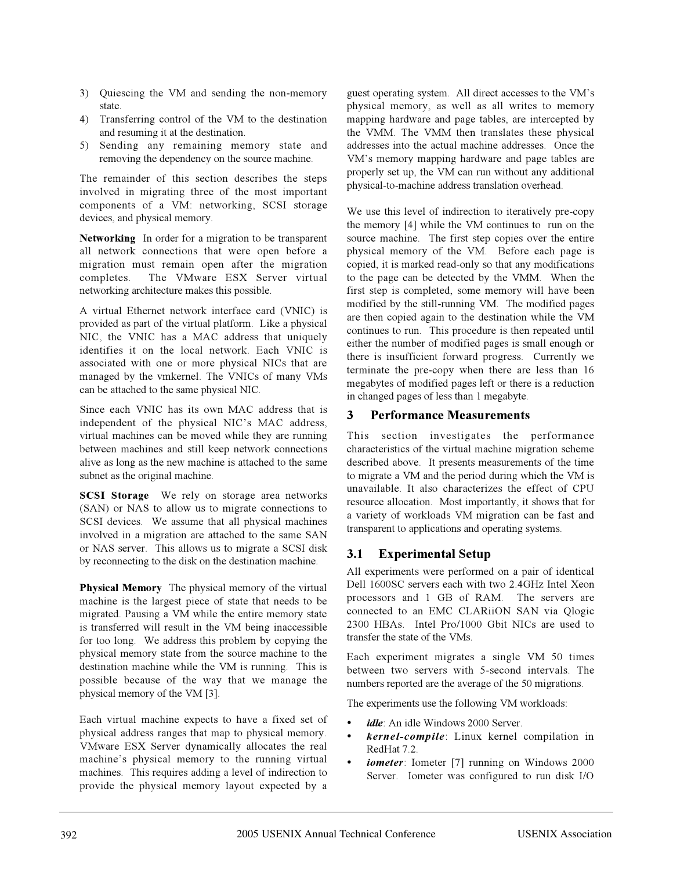- 3) Quiescing the VM and sending the non-memory state.
- 4) Transferring control of the VM to the destination and resuming it at the destination.
- 5) Sending any remaining memory state and removing the dependency on the source machine.

The remainder of this section describes the steps involved in migrating three of the most important components of a VM: networking, SCSI storage devices, and physical memory.

**Networking** In order for a migration to be transparent all network connections that were open before a migration must remain open after the migration completes. The VMware ESX Server virtual networking architecture makes this possible.

A virtual Ethernet network interface card (VNIC) is provided as part of the virtual platform. Like a physical NIC, the VNIC has a MAC address that uniquely identifies it on the local network. Each VNIC is associated with one or more physical NICs that are managed by the vmkernel. The VNICs of many VMs can be attached to the same physical NIC.

Since each VNIC has its own MAC address that is independent of the physical NIC's MAC address, virtual machines can be moved while they are running between machines and still keep network connections alive as long as the new machine is attached to the same subnet as the original machine.

**SCSI Storage** We rely on storage area networks (SAN) or NAS to allow us to migrate connections to SCSI devices. We assume that all physical machines involved in a migration are attached to the same SAN or NAS server. This allows us to migrate a SCSI disk by reconnecting to the disk on the destination machine.

**Physical Memory** The physical memory of the virtual machine is the largest piece of state that needs to be migrated. Pausing a VM while the entire memory state is transferred will result in the VM being inaccessible for too long. We address this problem by copying the physical memory state from the source machine to the destination machine while the VM is running. This is possible because of the way that we manage the physical memory of the VM [3].

Each virtual machine expects to have a fixed set of physical address ranges that map to physical memory. VMware ESX Server dynamically allocates the real machine's physical memory to the running virtual machines. This requires adding a level of indirection to provide the physical memory layout expected by a

guest operating system. All direct accesses to the VM's physical memory, as well as all writes to memory mapping hardware and page tables, are intercepted by the VMM. The VMM then translates these physical addresses into the actual machine addresses. Once the VM's memory mapping hardware and page tables are properly set up, the VM can run without any additional physical-to-machine address translation overhead.

We use this level of indirection to iteratively pre-copy the memory [4] while the VM continues to run on the source machine. The first step copies over the entire physical memory of the VM. Before each page is copied, it is marked read-only so that any modifications to the page can be detected by the VMM. When the first step is completed, some memory will have been modified by the still-running VM. The modified pages are then copied again to the destination while the VM continues to run. This procedure is then repeated until either the number of modified pages is small enough or there is insufficient forward progress. Currently we terminate the pre-copy when there are less than 16 megabytes of modified pages left or there is a reduction in changed pages of less than 1 megabyte.

#### **3 Performance Measurements**

This section investigates the performance characteristics of the virtual machine migration scheme described above. It presents measurements of the time to migrate a VM and the period during which the VM is unavailable. It also characterizes the effect of CPU resource allocation. Most importantly, it shows that for a variety of workloads VM migration can be fast and transparent to applications and operating systems.

### **3.1 Experimental Setup**

All experiments were performed on a pair of identical Dell 1600SC servers each with two 2.4GHz Intel Xeon processors and 1 GB of RAM. The servers are connected to an EMC CLARiiON SAN via Qlogic 2300 HBAs. Intel Pro/1000 Gbit NICs are used to transfer the state of the VMs.

Each experiment migrates a single VM 50 times between two servers with 5-second intervals. The numbers reported are the average of the 50 migrations.

The experiments use the following VM workloads:

- *idle*: An idle Windows 2000 Server.
- *kernel-compile*: Linux kernel compilation in RedHat 7.2.
- *iometer*: Iometer [7] running on Windows 2000 Server. Iometer was configured to run disk I/O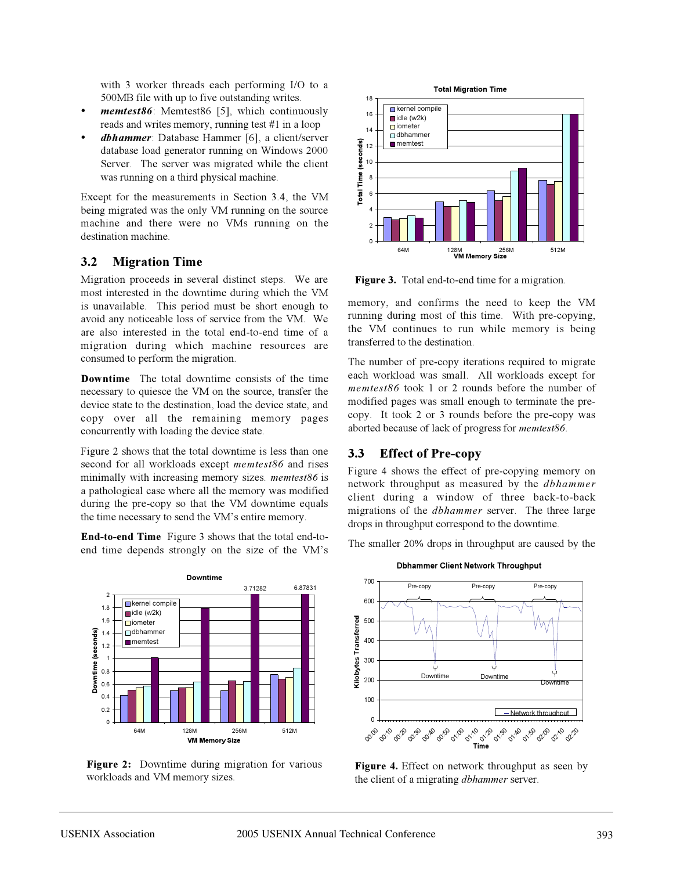with 3 worker threads each performing I/O to a 500MB file with up to five outstanding writes.

- *memtest86*: Memtest86 [5], which continuously reads and writes memory, running test #1 in a loop
- *dbhammer*: Database Hammer [6], a client/server database load generator running on Windows 2000 Server. The server was migrated while the client was running on a third physical machine.

Except for the measurements in Section 3.4, the VM being migrated was the only VM running on the source machine and there were no VMs running on the destination machine.

#### **3.2 Migration Time**

Migration proceeds in several distinct steps. We are most interested in the downtime during which the VM is unavailable. This period must be short enough to avoid any noticeable loss of service from the VM. We are also interested in the total end-to-end time of a migration during which machine resources are consumed to perform the migration.

**Downtime** The total downtime consists of the time necessary to quiesce the VM on the source, transfer the device state to the destination, load the device state, and copy over all the remaining memory pages concurrently with loading the device state.

Figure 2 shows that the total downtime is less than one second for all workloads except *memtest86* and rises minimally with increasing memory sizes. *memtest86* is a pathological case where all the memory was modified during the pre-copy so that the VM downtime equals the time necessary to send the VM's entire memory.

**End-to-end Time** Figure 3 shows that the total end-toend time depends strongly on the size of the VM's



**Figure 2:** Downtime during migration for various workloads and VM memory sizes.



**Figure 3.** Total end-to-end time for a migration.

memory, and confirms the need to keep the VM running during most of this time. With pre-copying, the VM continues to run while memory is being transferred to the destination.

The number of pre-copy iterations required to migrate each workload was small. All workloads except for *memtest86* took 1 or 2 rounds before the number of modified pages was small enough to terminate the precopy. It took 2 or 3 rounds before the pre-copy was aborted because of lack of progress for *memtest86*.

### **3.3 Effect of Pre-copy**

Figure 4 shows the effect of pre-copying memory on network throughput as measured by the *dbhammer* client during a window of three back-to-back migrations of the *dbhammer* server. The three large drops in throughput correspond to the downtime.

The smaller 20% drops in throughput are caused by the



**Figure 4.** Effect on network throughput as seen by the client of a migrating *dbhammer* server.

#### **Dbhammer Client Network Throughput**